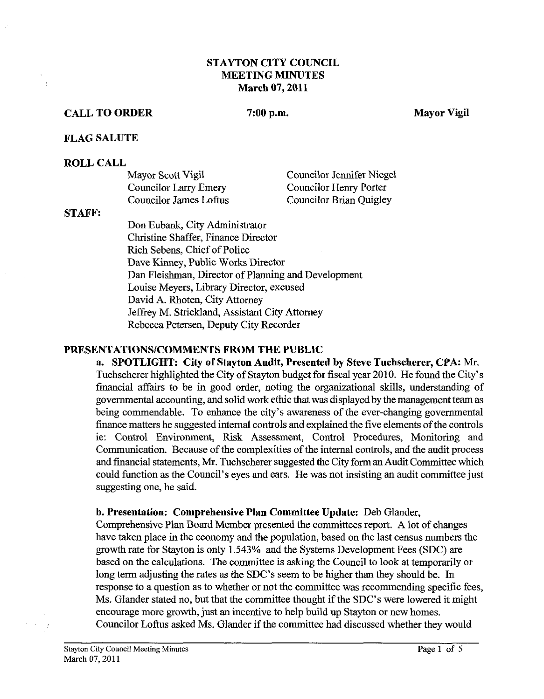## **STAYTON CITY COUNCIL MEETING MINUTES March 07.2011**

## **CALL TO ORDER** 7:00 p.m. Mayor Vigil

## **FLAG SALUTE**

#### **ROLL CALL**

| Mayor Scott Vigil            | Councilor Jennifer Niegel      |
|------------------------------|--------------------------------|
| <b>Councilor Larry Emery</b> | Councilor Henry Porter         |
| Councilor James Loftus       | <b>Councilor Brian Quigley</b> |

#### **STAFF:**

Don Eubank, City Administrator Christine Shaffer, Finance Director Rich Sebens, Chief of Police Dave Kinney, Public Works Director Dan Fleishman, Director of Planning and Development Louise Meyers, Library Director, excused David A. Rhoten, City Attorney Jeffrey M. Strickland, Assistant City Attorney Rebecca Petersen, Deputy City Recorder

## **PRESENTATIONSICOMMENTS FROM THE PUBLIC**

a. **SPOTLIGHT: City of Stayton Audit, Presented by Steve Tuchscherer, CPA. Mr.**  Tuchscherer highlighted the City of Stayton budget for fiscal year 2010. He found the City's financial affairs to be in good order, noting the organizational skills, understanding of governmental accounting, and solid work ethic that was displayed by the management team as being commendable. To enhance the city's awareness of the ever-changing governmental finance matters he suggested internal controls and explained the five elements of the controls ie: Control Environment, Risk Assessment, Control Procedures, Monitoring and Communication. Because of the complexities of the internal controls, and the audit process and fmancial statements, Mr. Tuchscherer suggested the City form an Audit Committee which could function as the Council's eyes and ears. He was not insisting an audit committee just suggesting one, he said.

## **b. Presentation: Comprehensive Plan Committee Update:** Deb Glander,

Comprehensive Plan Board Member presented the committees report. A lot of changes have taken place in the economy and the population, based on the last census numbers the growth rate for Stayton is only 1.543% and the Systems Development Fees (SDC) are based on the calculations. The committee is asking the Council to look at temporarily or long term adjusting the rates as the SDC's seem to be higher than they should be. In response to a question as to whether or not the committee was recommending specific fees, Ms. Glander stated no, but that the committee thought if the SDC's were lowered it might encourage more growth, just an incentive to help build up Stayton or new homes. Councilor Loftus asked Ms. Glander if the committee had discussed whether they would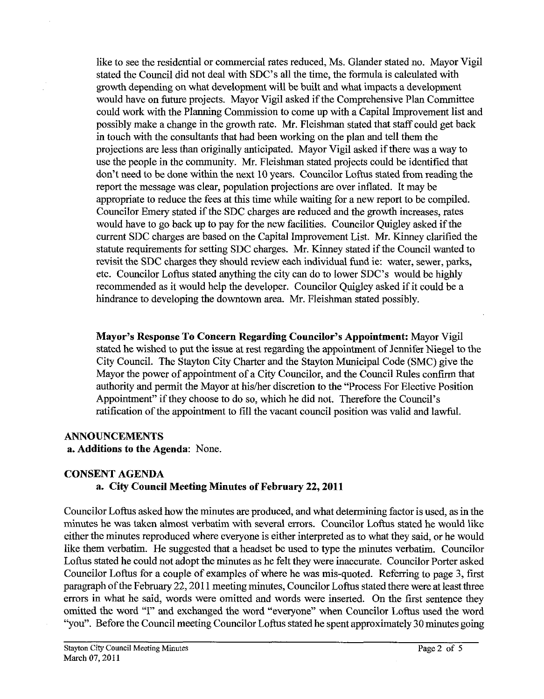like to see the residential or commercial rates reduced, Ms. Glander stated no. Mayor Vigil stated the Council did not deal with SDC's all the time, the formula is calculated with growth depending on what development will be built and what impacts a development would have on future projects. Mayor Vigil asked if the Comprehensive Plan Committee could work with the Planning Commission to come up with a Capital Improvement list and possibly make a change in the growth rate. Mr. Fleishman stated that staff could get back in touch with the consultants that had been working on the plan and tell them the projections are less than originally anticipated. Mayor Vigil asked if there was a way to use the people in the community. Mr. Fleishman stated projects could be identified that don't need to be done within the next 10 years. Councilor Loftus stated from reading the report the message was clear, population projections are over inflated. It may be appropriate to reduce the fees at this time while waiting for a new report to be compiled. Councilor Emery stated if the SDC charges are reduced and the growth increases, rates would have to go back up to pay for the new facilities. Councilor Quigley asked if the current SDC charges are based on the Capital Improvement List. Mr. Kinney clarified the statute requirements for setting SDC charges. Mr. Kinney stated if the Council wanted to revisit the SDC charges they should review each individual fund ie: water, sewer, parks, etc. Councilor Loftus stated anything the city can do to lower SDC's would be highly recommended as it would help the developer. Councilor Quigley asked if it could be a hindrance to developing the downtown area. Mr. Fleishman stated possibly.

**Mayor's Response To Concern Regarding Councilor's Appointment:** Mayor Vigil stated he wished to put the issue at rest regarding the appointment of Jennifer Niegel to the City Council. The Stayton City Charter and the Stayton Municipal Code (SMC) give the Mayor the power of appointment of a City Councilor, and the Council Rules confirm that authority and permit the Mayor at hisher discretion to the "Process For Elective Position Appointment" if they choose to do so, which he did not. Therefore the Council's ratification of the appointment to fill the vacant council position was valid and lawful.

# **ANNOUNCEMENTS**

## **a. Additions to the Agenda:** None.

## **CONSENT AGENDA a. City Council Meeting Minutes of February 22,2011**

Councilor Loftus asked how the minutes are produced, and what determining factor is used, as in the minutes he was taken almost verbatim with several errors. Councilor Loftus stated he would like either the minutes reproduced where everyone is either interpreted as to what they said, or he would like them verbatim. He suggested that a headset be used to type the minutes verbatim. Councilor Loftus stated he could not adopt the minutes as he felt they were inaccurate. Councilor Porter asked Councilor Loftus for a couple of examples of where he was mis-quoted. Referring to page **3,** first paragraph of the February 22, 2011 meeting minutes, Councilor Loftus stated there were at least three errors in what he said, words were omitted and words were inserted. On the first sentence they omitted the word "I" and exchanged the word "everyone" when Councilor Loftus used the word "you". Before the Council meeting Councilor Loftus stated he spent approximately 30 minutes going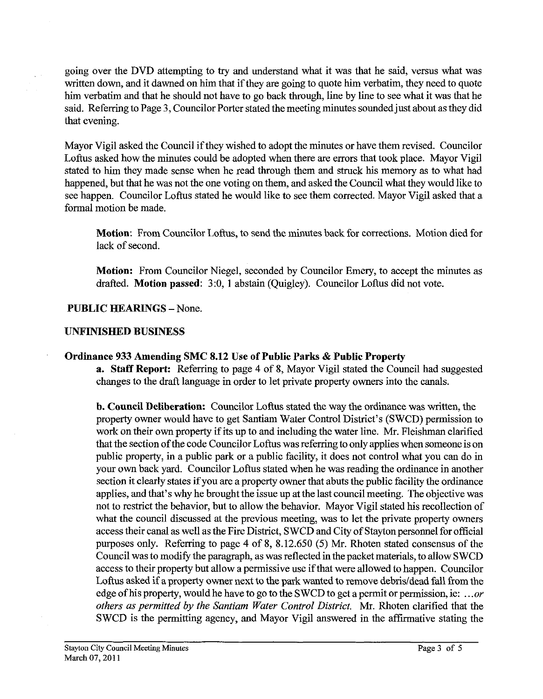going over the DVD attempting to **try** and understand what it was that he said, versus what was written down, and it dawned on him that if they are going to quote him verbatim, they need to quote him verbatim and that he should not have to go back through, line by line to see what it was that he said. Referring to Page **3,** Councilor Porter stated the meeting minutes sounded just about as they did that evening.

Mayor Vigil asked the Council if they wished to adopt the minutes or have them revised. Councilor Loftus asked how the minutes could be adopted when there are errors that took place. Mayor Vigil stated to him they made sense when he read through them and struck his memory as to what had happened, but that he was not the one voting on them, and asked the Council what they would like to see happen. Councilor Loftus stated he would like to see them corrected. Mayor Vigil asked that a formal motion be made.

**Motion:** From Councilor Loftus, to send the minutes back for corrections. Motion died for lack of second.

**Motion:** From Councilor Niegel, seconded by Councilor Emery, to accept the minutes as drafted. **Motion passed:** 3:0, **1** abstain (Quigley). Councilor Loftus did not vote.

**PUBLIC HEARINGS - None.** 

## **UNFINISHED BUSINESS**

## **Ordinance 933 Amending SMC 8.12 Use of Public Parks** & **Public Property**

**a. Staff Report:** Referring to page 4 of 8, Mayor Vigil stated the Council had suggested changes to the draft language in order to let private property owners into the canals.

**b. Council Deliberation:** Councilor Loftus stated the way the ordinance was written, the property owner would have to get Santiam Water Control District's (SWCD) permission to work on their own property if its up to and including the water line. Mr. Fleishman clarified that the section of the code Councilor Loftus was referring to only applies when someone is on public property, in a public park or a public facility, it does not control what you can do in your own back yard. Councilor Loftus stated when he was reading the ordinance in another section it clearly states if you are a property owner that abuts the public facility the ordinance applies, and that's why he brought the issue up at the last council meeting. The objective was not to restrict the behavior, but to allow the behavior. Mayor Vigil stated his recollection of what the council discussed at the previous meeting, was to let the private property owners access their canal as well as the Fire District, SWCD and City of Stayton personnel for official purposes only. Referring to page 4 of 8, 8.12.650 (5) Mr. Rhoten stated consensus of the Council was to modify the paragraph, as was reflected in the packet materials, to allow SWCD access to their property but allow a permissive use if that were allowed to happen. Councilor Loftus asked if a property owner next to the park wanted to remove debris/dead fall from the edge of his property, would he have to go to the SWCD to get a permit or permission, ie: . . *.or others as permitted by the Santiam Water Control District. Mr.* Rhoten clarified that the SWCD is the permitting agency, and Mayor Vigil answered in the affirmative stating the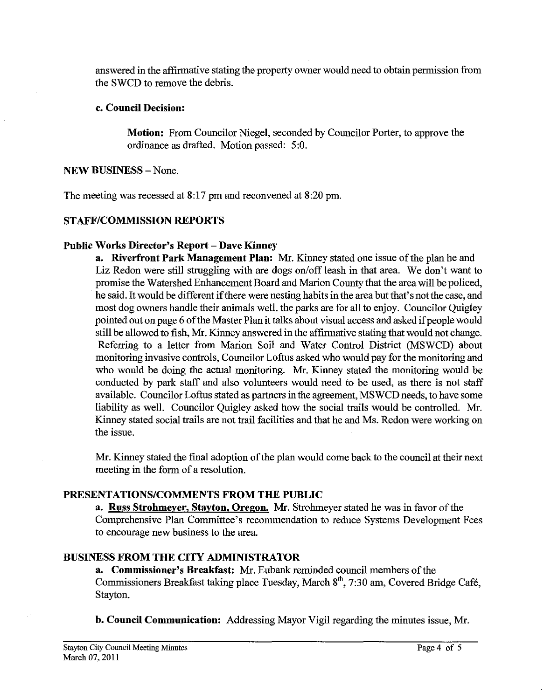answered in the affirmative stating the property owner would need to obtain permission from the SWCD to remove the debris.

## **c. Council Decision:**

**Motion:** From Councilor Niegel, seconded by Councilor Porter, to approve the ordinance as drafted. Motion passed: 5:O.

## **NEW BUSINESS - None.**

The meeting was recessed at 8:17 pm and reconvened at 8:20 pm.

# **STAFFICOMMISSION REPORTS**

# **Public Works Director's Report** - **Dave Kinney**

**a. Riverfront Park Management Plan:** Mr. Kinney stated one issue of the plan he and Liz Redon were still struggling with are dogs on/off leash in that area. We don't want to promise the Watershed Enhancement Board and Marion County that the area will be policed, he said. It would be different if there were nesting habits in the area but that's not the case, and most dog owners handle their animals well, the parks are for all to enjoy. Councilor Quigley pointed out on page 6 of the Master Plan it talks about visual access and asked if people would still be allowed to fish, Mr. Kinney answered in the affirmative stating that would not change. Referring to a letter from Marion Soil and Water Control District (MSWCD) about monitoring invasive controls, Councilor Loftus asked who would pay for the monitoring and who would be doing the actual monitoring. Mr. Kinney stated the monitoring would be conducted by park staff and also volunteers would need to be used, as there is not staff available. Councilor Loftus stated as partners in the agreement, MSWCD needs, to have some liability as well. Councilor Quigley asked how the social trails would be controlled. Mr. Kinney stated social trails are not trail facilities and that he and Ms. Redon were working on the issue.

Mr. Kinney stated the final adoption of the plan would come back to the council at their next meeting in the form of a resolution.

# **PRESENTATIONSICOMMENTS FROM THE PUBLIC**

**a. Russ Strohmeyer, Stavton. Oregon. Mr.** Strohmeyer stated he was in favor of the Comprehensive Plan Committee's recommendation to reduce Systems Development Fees to encourage new business to the area.

# **BUSINESS FROM THE CITY ADMINISTRATOR**

**a. Commissioner's Breakfast: Mr.** Eubank reminded council members of the Commissioners Breakfast taking place Tuesday, March 8", 7:30 **am,** Covered Bridge Caf6, Stayton.

**b. Council Communication:** Addressing Mayor Vigil regarding the minutes issue, Mr.